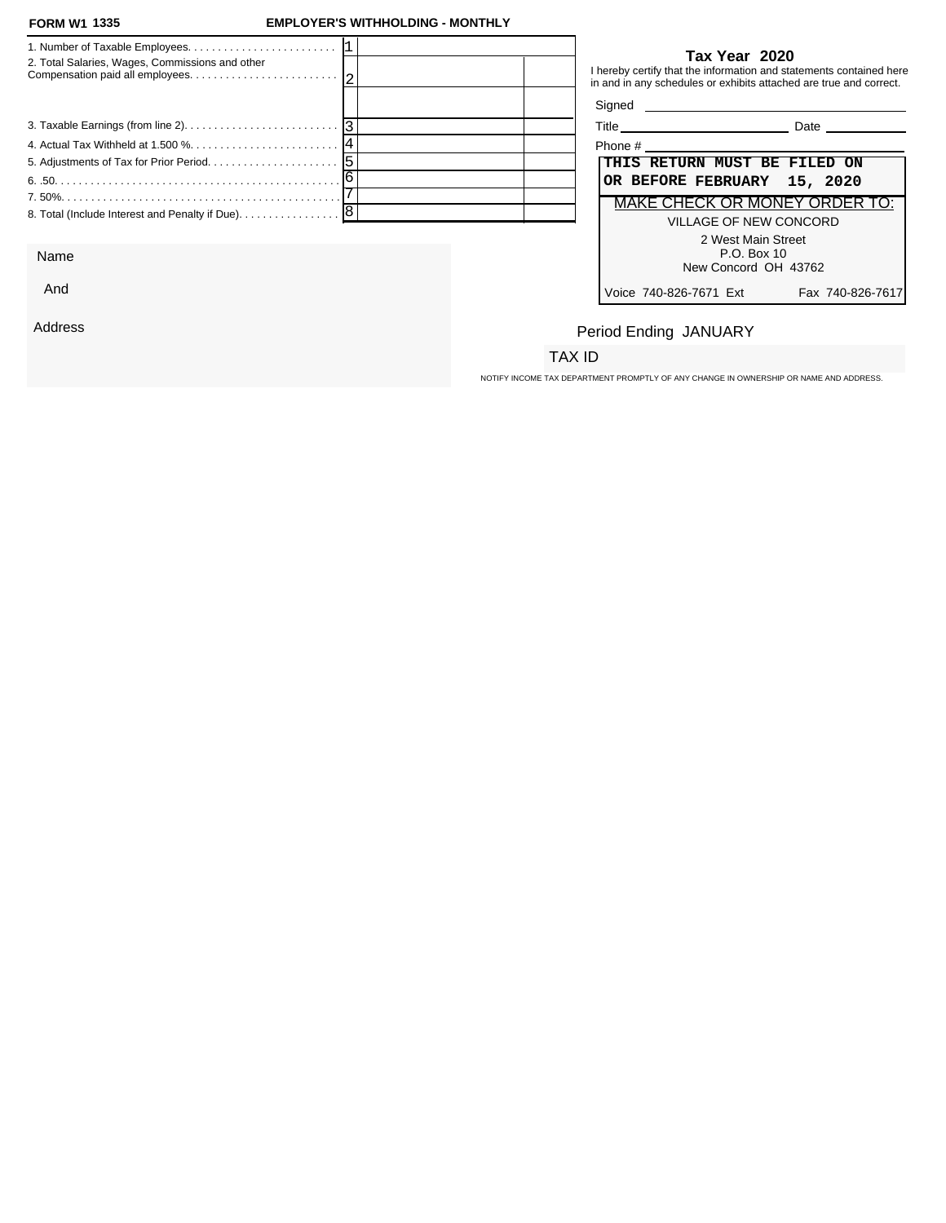### **FORM W1 EMPLOYER'S WITHHOLDING - MONTHLY**

| 2. Total Salaries, Wages, Commissions and other                                   | Tax Year 2020<br>I hereby certify that the information and statements contained here<br>in and in any schedules or exhibits attached are true and correct. |
|-----------------------------------------------------------------------------------|------------------------------------------------------------------------------------------------------------------------------------------------------------|
|                                                                                   |                                                                                                                                                            |
|                                                                                   | Title Date Date                                                                                                                                            |
|                                                                                   | Phone #                                                                                                                                                    |
|                                                                                   | THIS RETURN MUST BE FILED ON                                                                                                                               |
|                                                                                   | OR BEFORE FEBRUARY 15, 2020                                                                                                                                |
|                                                                                   | MAKE CHECK OR MONEY ORDER TO:                                                                                                                              |
| 8. Total (Include Interest and Penalty if Due). $\ldots \ldots \ldots \ldots$   8 | VILLAGE OF NEW CONCORD                                                                                                                                     |
|                                                                                   | 2 West Main Street                                                                                                                                         |

Name

And

Address

### **Tax Year 2020**

| Title   |                        |                                                             | Date                          |
|---------|------------------------|-------------------------------------------------------------|-------------------------------|
| Phone # |                        |                                                             |                               |
|         |                        | THIS RETURN MUST BE FILED ON<br>OR BEFORE FEBRUARY 15, 2020 |                               |
|         |                        |                                                             | MAKE CHECK OR MONEY ORDER TO: |
|         |                        | VILLAGE OF NEW CONCORD                                      |                               |
|         |                        | 2 West Main Street                                          |                               |
|         |                        | $P.O.$ Box 10                                               |                               |
|         |                        | New Concord OH 43762                                        |                               |
|         | Voice 740-826-7671 Ext |                                                             | Fax 740-826-7617              |

# Period Ending JANUARY

### TAX ID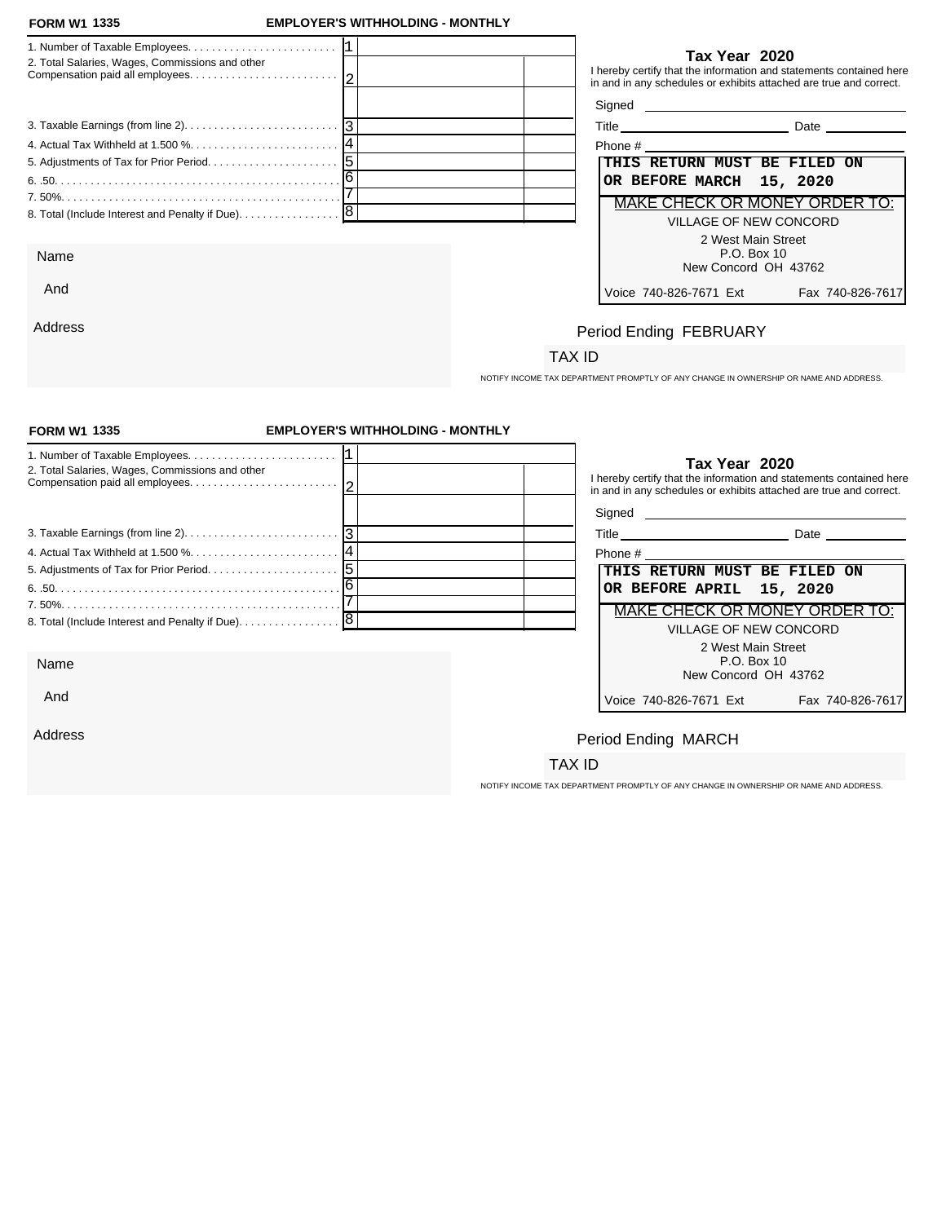And

Address

### **FORM W1 EMPLOYER'S WITHHOLDING - MONTHLY**

| 2. Total Salaries, Wages, Commissions and other | Tax Year 2020<br>I hereby certify that the information and statements contained here<br>in and in any schedules or exhibits attached are true and correct. |
|-------------------------------------------------|------------------------------------------------------------------------------------------------------------------------------------------------------------|
|                                                 | Signed <b>Signed</b>                                                                                                                                       |
|                                                 | Date                                                                                                                                                       |
|                                                 | Phone # Phone # 2009                                                                                                                                       |
|                                                 | THIS RETURN MUST BE FILED ON                                                                                                                               |
|                                                 | OR BEFORE MARCH 15, 2020                                                                                                                                   |
|                                                 | MAKE CHECK OR MONEY ORDER TO:                                                                                                                              |
|                                                 | VILLAGE OF NEW CONCORD                                                                                                                                     |
|                                                 | 2 West Main Street                                                                                                                                         |
| Name                                            | P.O. Box 10                                                                                                                                                |
|                                                 | New Concord OH 13762                                                                                                                                       |

### **Tax Year 2020**

| Title<br>Date |
|---------------|
|---------------|

| Phone #                                    |  |  |
|--------------------------------------------|--|--|
| THIS RETURN MUST BE FILED ON               |  |  |
| OR BEFORE MARCH 15, 2020                   |  |  |
| <b>MAKE CHECK OR MONEY ORDER TO:</b>       |  |  |
| VILLAGE OF NEW CONCORD                     |  |  |
| 2 West Main Street                         |  |  |
| P.O. Box 10                                |  |  |
| New Concord OH 43762                       |  |  |
| Voice 740-826-7671 Ext<br>Fax 740-826-7617 |  |  |

## Period Ending FEBRUARY

### TAX ID

NOTIFY INCOME TAX DEPARTMENT PROMPTLY OF ANY CHANGE IN OWNERSHIP OR NAME AND ADDRESS.

| <b>FORM W1 1335</b>                               | <b>EMPLOYER'S WITHHOLDING - MONTHLY</b> |                                                                                                                                                            |                  |
|---------------------------------------------------|-----------------------------------------|------------------------------------------------------------------------------------------------------------------------------------------------------------|------------------|
| 2. Total Salaries, Wages, Commissions and other   |                                         | Tax Year 2020<br>I hereby certify that the information and statements contained here<br>in and in any schedules or exhibits attached are true and correct. |                  |
|                                                   |                                         |                                                                                                                                                            |                  |
|                                                   |                                         | Title Date Date                                                                                                                                            |                  |
| 4. Actual Tax Withheld at 1.500 % 14              |                                         |                                                                                                                                                            |                  |
|                                                   |                                         | THIS RETURN MUST BE FILED ON                                                                                                                               |                  |
|                                                   |                                         | OR BEFORE APRIL 15, 2020                                                                                                                                   |                  |
|                                                   |                                         | MAKE CHECK OR MONEY ORDER TO:                                                                                                                              |                  |
| 8. Total (Include Interest and Penalty if Due). 8 |                                         | <b>VILLAGE OF NEW CONCORD</b>                                                                                                                              |                  |
| Name                                              |                                         | 2 West Main Street<br>P.O. Box 10                                                                                                                          |                  |
| And                                               |                                         | New Concord OH 43762<br>Voice 740-826-7671 Ext                                                                                                             | Fax 740-826-7617 |
|                                                   |                                         |                                                                                                                                                            |                  |
| Address                                           |                                         | Period Ending MARCH                                                                                                                                        |                  |
|                                                   |                                         | TAX ID                                                                                                                                                     |                  |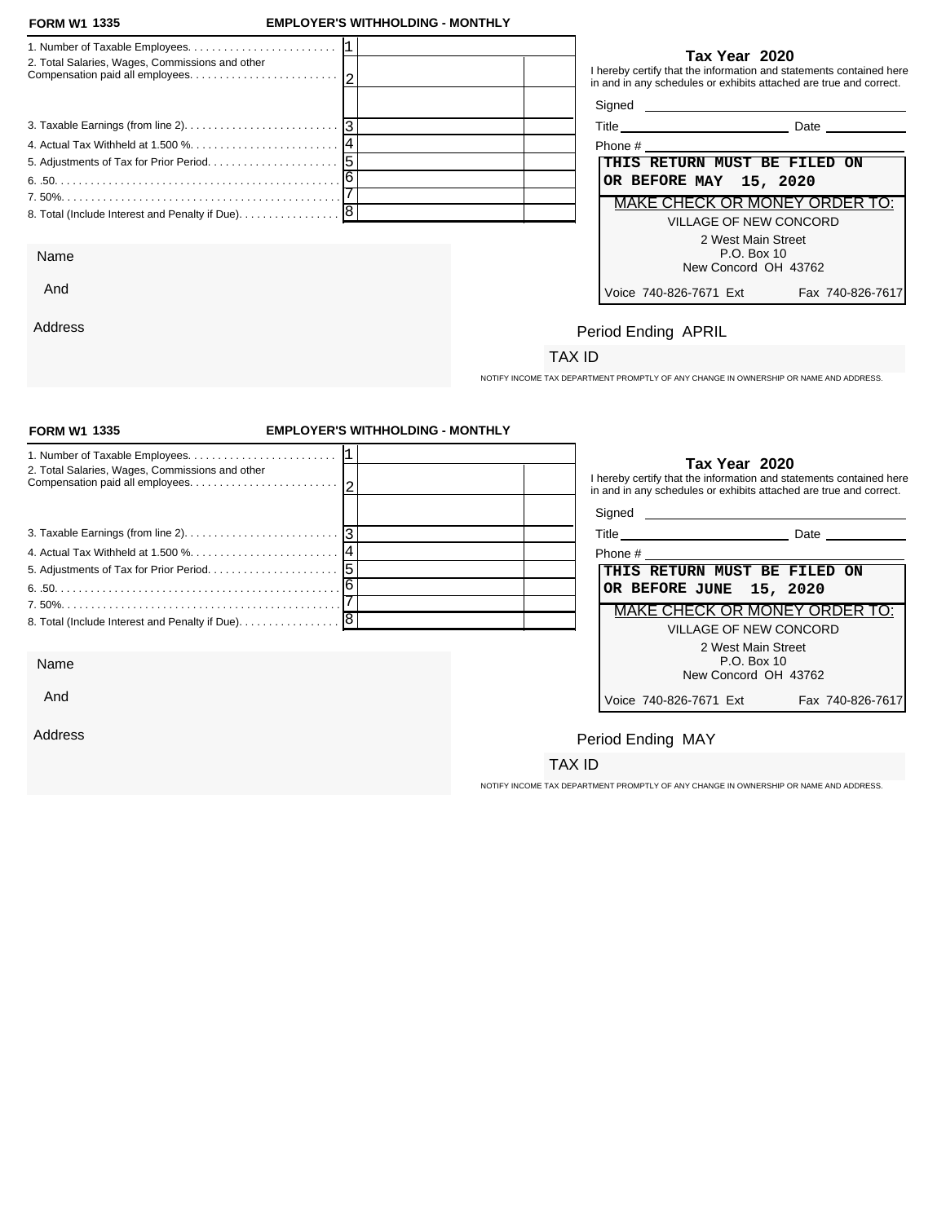Address

### **FORM W1 EMPLOYER'S WITHHOLDING - MONTHLY**

| 2. Total Salaries, Wages, Commissions and other |                        | Tax Year 2020                                                                                                                             |
|-------------------------------------------------|------------------------|-------------------------------------------------------------------------------------------------------------------------------------------|
|                                                 |                        | I hereby certify that the information and statements contained here<br>in and in any schedules or exhibits attached are true and correct. |
|                                                 |                        |                                                                                                                                           |
|                                                 |                        | <b>Date Date</b>                                                                                                                          |
|                                                 |                        |                                                                                                                                           |
|                                                 |                        | THIS RETURN MUST BE FILED ON                                                                                                              |
|                                                 | OR BEFORE MAY 15, 2020 |                                                                                                                                           |
|                                                 |                        | MAKE CHECK OR MONEY ORDER TO:                                                                                                             |
|                                                 |                        | VILLAGE OF NEW CONCORD                                                                                                                    |
|                                                 |                        | 2 West Main Street                                                                                                                        |
| Name                                            |                        | P.O. Box 10<br>New Concord OH 43762                                                                                                       |
| And                                             | Voice 740-826-7671 Fxt | Fax 740-826-7617                                                                                                                          |

| Phone #                       |                  |
|-------------------------------|------------------|
| THIS RETURN MUST BE FILED ON  |                  |
| OR BEFORE MAY 15, 2020        |                  |
| MAKE CHECK OR MONEY ORDER TO: |                  |
| VILLAGE OF NEW CONCORD        |                  |
| 2 West Main Street            |                  |
| $P.O.$ Box 10                 |                  |
| New Concord OH 43762          |                  |
| Voice 740-826-7671 Ext        | Fax 740-826-7617 |

# Period Ending APRIL

## TAX ID

NOTIFY INCOME TAX DEPARTMENT PROMPTLY OF ANY CHANGE IN OWNERSHIP OR NAME AND ADDRESS.

| <b>FORM W1 1335</b>                               | <b>EMPLOYER'S WITHHOLDING - MONTHLY</b> |                        |                                                                                                                                                            |
|---------------------------------------------------|-----------------------------------------|------------------------|------------------------------------------------------------------------------------------------------------------------------------------------------------|
| 2. Total Salaries, Wages, Commissions and other   |                                         |                        | Tax Year 2020<br>I hereby certify that the information and statements contained here<br>in and in any schedules or exhibits attached are true and correct. |
|                                                   |                                         |                        |                                                                                                                                                            |
|                                                   |                                         |                        | Title Date Date                                                                                                                                            |
|                                                   |                                         |                        |                                                                                                                                                            |
|                                                   |                                         |                        | THIS RETURN MUST BE FILED ON                                                                                                                               |
|                                                   |                                         |                        | OR BEFORE JUNE 15, 2020                                                                                                                                    |
|                                                   |                                         |                        | MAKE CHECK OR MONEY ORDER TO:                                                                                                                              |
| 8. Total (Include Interest and Penalty if Due). 8 |                                         |                        | VILLAGE OF NEW CONCORD                                                                                                                                     |
|                                                   |                                         |                        | 2 West Main Street                                                                                                                                         |
| Name                                              |                                         |                        | P.O. Box 10<br>New Concord OH 43762                                                                                                                        |
| And                                               |                                         | Voice 740-826-7671 Ext | Fax 740-826-7617                                                                                                                                           |
| Address                                           |                                         | Period Ending MAY      |                                                                                                                                                            |
|                                                   |                                         | TAX ID                 |                                                                                                                                                            |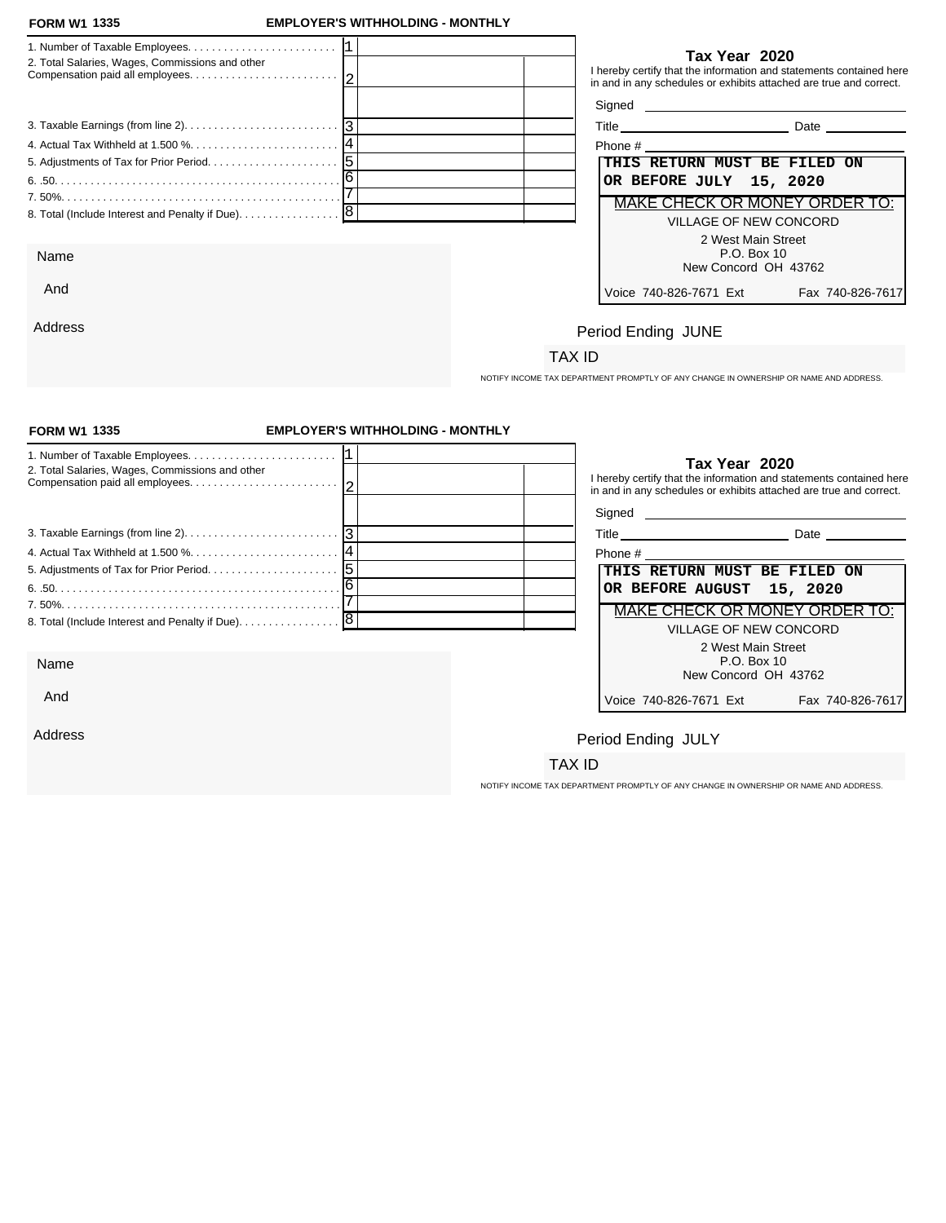Address

### **FORM W1 EMPLOYER'S WITHHOLDING - MONTHLY**

| 2. Total Salaries, Wages, Commissions and other   |  |                              | Tax Year 2020                                | I hereby certify that the information and statements contained here<br>in and in any schedules or exhibits attached are true and correct.                                                                                            |
|---------------------------------------------------|--|------------------------------|----------------------------------------------|--------------------------------------------------------------------------------------------------------------------------------------------------------------------------------------------------------------------------------------|
|                                                   |  |                              |                                              | Signed <u>example and the set of the set of the set of the set of the set of the set of the set of the set of the set of the set of the set of the set of the set of the set of the set of the set of the set of the set of the </u> |
|                                                   |  |                              |                                              | Title Date Date                                                                                                                                                                                                                      |
|                                                   |  |                              |                                              |                                                                                                                                                                                                                                      |
|                                                   |  | THIS RETURN MUST BE FILED ON |                                              |                                                                                                                                                                                                                                      |
|                                                   |  | OR BEFORE JULY 15, 2020      |                                              |                                                                                                                                                                                                                                      |
|                                                   |  |                              |                                              | MAKE CHECK OR MONEY ORDER TO:                                                                                                                                                                                                        |
| 8. Total (Include Interest and Penalty if Due). 8 |  |                              | VILLAGE OF NEW CONCORD<br>2 West Main Street |                                                                                                                                                                                                                                      |
| Name                                              |  |                              | P.O. Box 10<br>New Concord OH 43762          |                                                                                                                                                                                                                                      |
| And                                               |  | Voice 740-826-7671 Fxt       |                                              | Fax 740-826-7617                                                                                                                                                                                                                     |

| Phone #                                    |
|--------------------------------------------|
| THIS RETURN MUST BE FILED ON               |
| OR BEFORE JULY 15, 2020                    |
| MAKE CHECK OR MONEY ORDER TO:              |
| VILLAGE OF NEW CONCORD                     |
| 2 West Main Street                         |
| $P.O.$ Box 10                              |
| New Concord OH 43762                       |
| Voice 740-826-7671 Ext<br>Fax 740-826-7617 |

# Period Ending JUNE

## TAX ID

NOTIFY INCOME TAX DEPARTMENT PROMPTLY OF ANY CHANGE IN OWNERSHIP OR NAME AND ADDRESS.

| <b>FORM W1 1335</b>                                                                             | <b>EMPLOYER'S WITHHOLDING - MONTHLY</b> |                                                                                                                                                            |                  |
|-------------------------------------------------------------------------------------------------|-----------------------------------------|------------------------------------------------------------------------------------------------------------------------------------------------------------|------------------|
| 2. Total Salaries, Wages, Commissions and other                                                 |                                         | Tax Year 2020<br>I hereby certify that the information and statements contained here<br>in and in any schedules or exhibits attached are true and correct. |                  |
|                                                                                                 |                                         |                                                                                                                                                            |                  |
| 3. Taxable Earnings (from line 2). $\ldots$ . $\ldots$ . $\ldots$ . $\ldots$ . $\ldots$ . $ 3 $ |                                         | Title Date Date                                                                                                                                            |                  |
|                                                                                                 |                                         |                                                                                                                                                            |                  |
|                                                                                                 |                                         | THIS RETURN MUST BE FILED ON                                                                                                                               |                  |
|                                                                                                 |                                         | OR BEFORE AUGUST 15, 2020                                                                                                                                  |                  |
|                                                                                                 |                                         | MAKE CHECK OR MONEY ORDER TO:                                                                                                                              |                  |
| 8. Total (Include Interest and Penalty if Due). 8                                               |                                         | <b>VILLAGE OF NEW CONCORD</b>                                                                                                                              |                  |
|                                                                                                 |                                         | 2 West Main Street                                                                                                                                         |                  |
| Name                                                                                            |                                         | P.O. Box 10<br>New Concord OH 43762                                                                                                                        |                  |
| And                                                                                             |                                         | Voice 740-826-7671 Ext                                                                                                                                     | Fax 740-826-7617 |
| Address                                                                                         |                                         | Period Ending JULY                                                                                                                                         |                  |
|                                                                                                 |                                         | TAX ID                                                                                                                                                     |                  |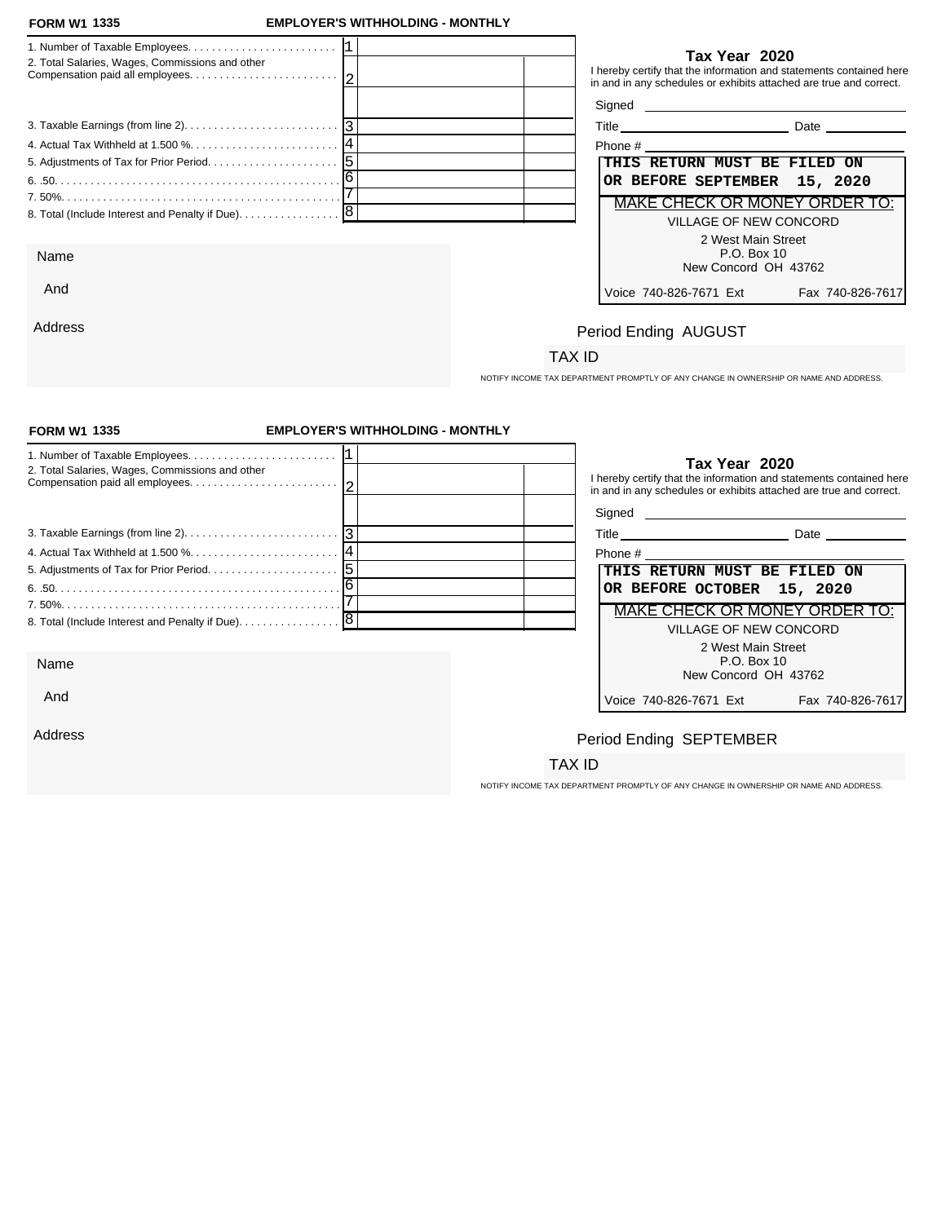And

Address

### **FORM W1 EMPLOYER'S WITHHOLDING - MONTHLY**

|                                                 | Tax Year 2020                                                                                                                             |
|-------------------------------------------------|-------------------------------------------------------------------------------------------------------------------------------------------|
| 2. Total Salaries, Wages, Commissions and other | I hereby certify that the information and statements contained here<br>in and in any schedules or exhibits attached are true and correct. |
|                                                 |                                                                                                                                           |
|                                                 | Title Date Date                                                                                                                           |
|                                                 | Phone # 2008 2009 2012 2023 2024 2022 2023 2024 2022 2023 2024 2022 2023 2024 2022 2023 2024 2025 2026 2027 20                            |
|                                                 | THIS RETURN MUST BE FILED ON                                                                                                              |
|                                                 | OR BEFORE SEPTEMBER 15, 2020                                                                                                              |
|                                                 | MAKE CHECK OR MONEY ORDER TO:                                                                                                             |
|                                                 | VILLAGE OF NEW CONCORD                                                                                                                    |
|                                                 | 2 West Main Street                                                                                                                        |
| Name                                            | P.O. Box 10                                                                                                                               |
|                                                 | New Concord OH 43762                                                                                                                      |

| Phone #                              |                  |
|--------------------------------------|------------------|
| THIS RETURN MUST BE FILED ON         |                  |
| OR BEFORE SEPTEMBER 15, 2020         |                  |
| <b>MAKE CHECK OR MONEY ORDER TO:</b> |                  |
| VILLAGE OF NEW CONCORD               |                  |
| 2 West Main Street                   |                  |
| P.O. Box 10                          |                  |
| New Concord OH 43762                 |                  |
| Voice 740-826-7671 Ext               | Fax 740-826-7617 |

# Period Ending AUGUST

### TAX ID

NOTIFY INCOME TAX DEPARTMENT PROMPTLY OF ANY CHANGE IN OWNERSHIP OR NAME AND ADDRESS.

| <b>FORM W1 1335</b>                                                                             | <b>EMPLOYER'S WITHHOLDING - MONTHLY</b> |                                                                                                                                                            |                  |
|-------------------------------------------------------------------------------------------------|-----------------------------------------|------------------------------------------------------------------------------------------------------------------------------------------------------------|------------------|
| 2. Total Salaries, Wages, Commissions and other                                                 |                                         | Tax Year 2020<br>I hereby certify that the information and statements contained here<br>in and in any schedules or exhibits attached are true and correct. |                  |
|                                                                                                 |                                         |                                                                                                                                                            |                  |
| 3. Taxable Earnings (from line 2). $\ldots$ . $\ldots$ . $\ldots$ . $\ldots$ . $\ldots$ . $ 3 $ |                                         | Title Date Date                                                                                                                                            |                  |
|                                                                                                 |                                         | Phone # 2008 2009 2012 2022 2023 2024 2022 2023 2024 2022 2023 2024 2022 2023 2024 2022 2023 2024 20                                                       |                  |
|                                                                                                 |                                         | THIS RETURN MUST BE FILED ON                                                                                                                               |                  |
|                                                                                                 |                                         | OR BEFORE OCTOBER 15, 2020                                                                                                                                 |                  |
|                                                                                                 |                                         | <b>MAKE CHECK OR MONEY ORDER TO:</b>                                                                                                                       |                  |
| 8. Total (Include Interest and Penalty if Due). 8                                               |                                         | <b>VILLAGE OF NEW CONCORD</b>                                                                                                                              |                  |
|                                                                                                 |                                         | 2 West Main Street                                                                                                                                         |                  |
| Name                                                                                            |                                         | P.O. Box 10<br>New Concord OH 43762                                                                                                                        |                  |
| And                                                                                             |                                         | Voice 740-826-7671 Ext                                                                                                                                     | Fax 740-826-7617 |
| Address                                                                                         |                                         | Period Ending SEPTEMBER                                                                                                                                    |                  |
|                                                                                                 |                                         | TAX ID                                                                                                                                                     |                  |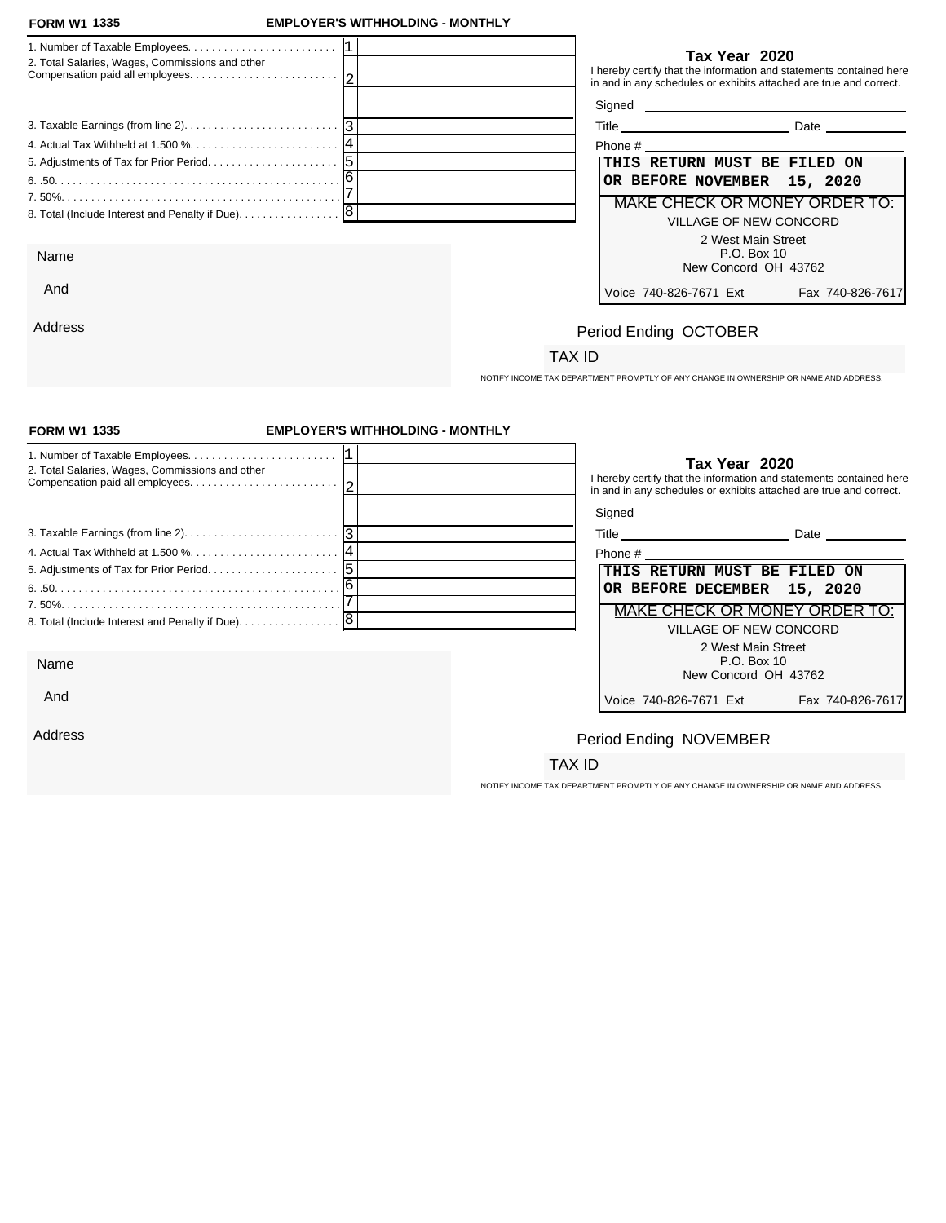And

Address

### **FORM W1 EMPLOYER'S WITHHOLDING - MONTHLY**

| 2. Total Salaries, Wages, Commissions and other                                                             | Tax Year 2020<br>I hereby certify that the information and statements contained here<br>in and in any schedules or exhibits attached are true and correct.                                                                           |
|-------------------------------------------------------------------------------------------------------------|--------------------------------------------------------------------------------------------------------------------------------------------------------------------------------------------------------------------------------------|
|                                                                                                             | Signed <u>example and the set of the set of the set of the set of the set of the set of the set of the set of the set of the set of the set of the set of the set of the set of the set of the set of the set of the set of the </u> |
| 3. Taxable Earnings (from line 2). $\ldots$ . $\ldots$ . $\ldots$ . $\ldots$ . $\ldots$ . $\lceil 3 \rceil$ | Title Date Date                                                                                                                                                                                                                      |
|                                                                                                             | Phone # 2008 and 2008 and 2008 and 2008 and 2008 and 2008 and 2008 and 2008 and 2008 and 2008 and 2008 and 200                                                                                                                       |
|                                                                                                             | THIS RETURN MUST BE FILED ON                                                                                                                                                                                                         |
|                                                                                                             | OR BEFORE NOVEMBER 15, 2020                                                                                                                                                                                                          |
|                                                                                                             | MAKE CHECK OR MONEY ORDER TO:                                                                                                                                                                                                        |
|                                                                                                             | VILLAGE OF NEW CONCORD                                                                                                                                                                                                               |
|                                                                                                             | 2 West Main Street                                                                                                                                                                                                                   |
| Name                                                                                                        | P.O. Box 10                                                                                                                                                                                                                          |
|                                                                                                             | New Concord OH 43762                                                                                                                                                                                                                 |

| Phone #                       |                 |
|-------------------------------|-----------------|
| THIS RETURN MUST BE FILED ON  |                 |
| OR BEFORE NOVEMBER 15, 2020   |                 |
| MAKE CHECK OR MONEY ORDER TO: |                 |
| VILLAGE OF NEW CONCORD        |                 |
| 2 West Main Street            |                 |
| P.O. Box 10                   |                 |
| New Concord OH 43762          |                 |
| Voice 740-826-7671 Ext        | Fax 740-826-761 |

# Period Ending OCTOBER

## TAX ID

NOTIFY INCOME TAX DEPARTMENT PROMPTLY OF ANY CHANGE IN OWNERSHIP OR NAME AND ADDRESS.

| <b>FORM W1 1335</b>                                                                             | <b>EMPLOYER'S WITHHOLDING - MONTHLY</b> |                                                                                                                |                                                                                                                                                            |
|-------------------------------------------------------------------------------------------------|-----------------------------------------|----------------------------------------------------------------------------------------------------------------|------------------------------------------------------------------------------------------------------------------------------------------------------------|
| 2. Total Salaries, Wages, Commissions and other                                                 |                                         |                                                                                                                | Tax Year 2020<br>I hereby certify that the information and statements contained here<br>in and in any schedules or exhibits attached are true and correct. |
|                                                                                                 |                                         |                                                                                                                |                                                                                                                                                            |
| 3. Taxable Earnings (from line 2). $\ldots$ . $\ldots$ . $\ldots$ . $\ldots$ . $\ldots$ . $ 3 $ |                                         |                                                                                                                | Title Date Date                                                                                                                                            |
|                                                                                                 |                                         | Phone # 2008 2009 2012 2022 2023 2024 2022 2023 2024 2022 2023 2024 2022 2023 2024 2022 2023 2024 2023 2024 20 |                                                                                                                                                            |
|                                                                                                 |                                         | THIS RETURN MUST BE FILED ON                                                                                   |                                                                                                                                                            |
|                                                                                                 |                                         | OR BEFORE DECEMBER 15, 2020                                                                                    |                                                                                                                                                            |
|                                                                                                 |                                         |                                                                                                                | <b>MAKE CHECK OR MONEY ORDER TO:</b>                                                                                                                       |
| 8. Total (Include Interest and Penalty if Due). 8                                               |                                         |                                                                                                                | <b>VILLAGE OF NEW CONCORD</b>                                                                                                                              |
|                                                                                                 |                                         |                                                                                                                | 2 West Main Street                                                                                                                                         |
| Name                                                                                            |                                         |                                                                                                                | P.O. Box 10<br>New Concord OH 43762                                                                                                                        |
| And                                                                                             |                                         | Voice 740-826-7671 Ext                                                                                         | Fax 740-826-7617                                                                                                                                           |
| Address                                                                                         |                                         | Period Ending NOVEMBER                                                                                         |                                                                                                                                                            |
|                                                                                                 |                                         | TAX ID                                                                                                         |                                                                                                                                                            |